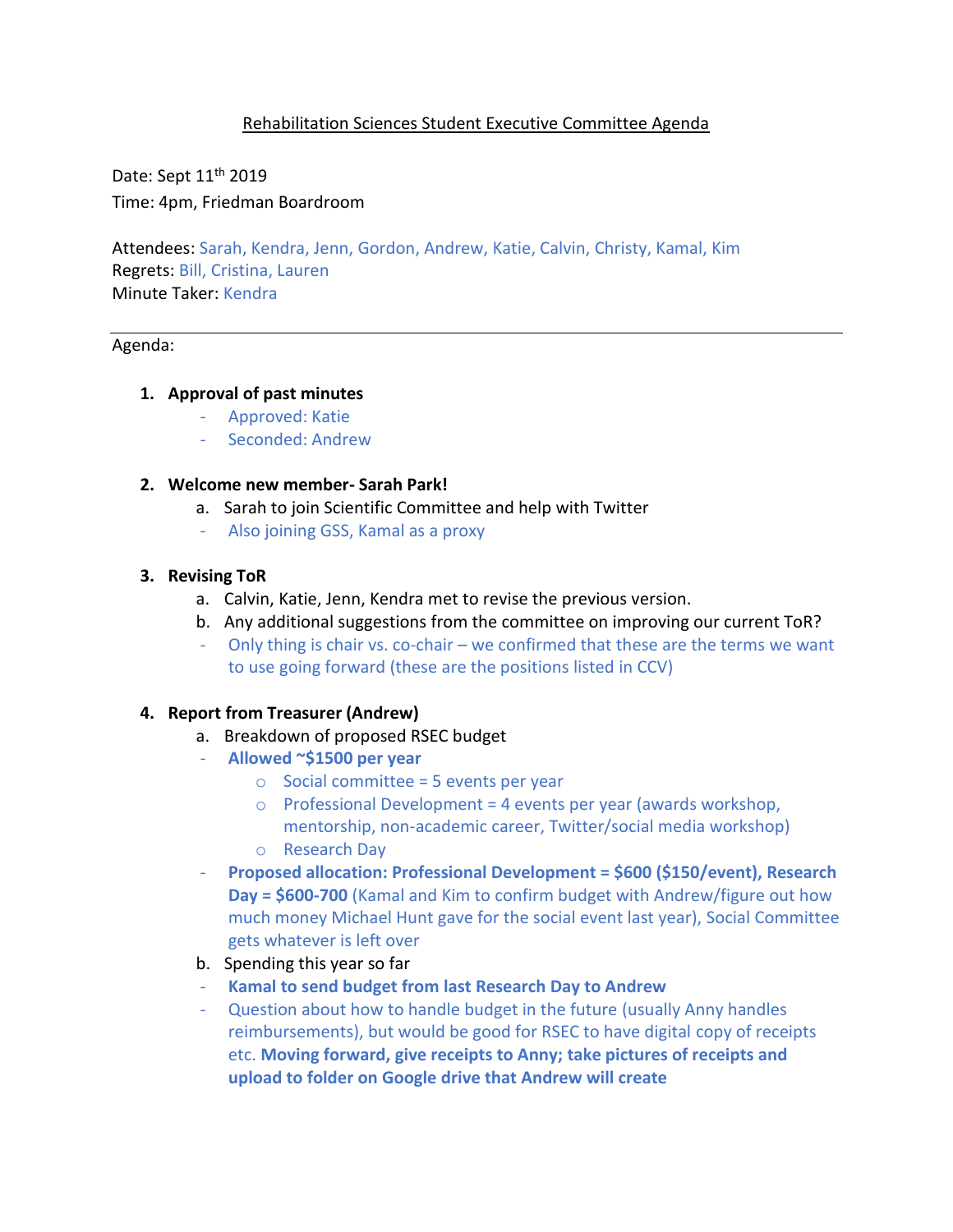# Rehabilitation Sciences Student Executive Committee Agenda

Date: Sept 11<sup>th</sup> 2019 Time: 4pm, Friedman Boardroom

Attendees: Sarah, Kendra, Jenn, Gordon, Andrew, Katie, Calvin, Christy, Kamal, Kim Regrets: Bill, Cristina, Lauren Minute Taker: Kendra

### Agenda:

### **1. Approval of past minutes**

- Approved: Katie
- Seconded: Andrew

## **2. Welcome new member- Sarah Park!**

- a. Sarah to join Scientific Committee and help with Twitter
- Also joining GSS, Kamal as a proxy

### **3. Revising ToR**

- a. Calvin, Katie, Jenn, Kendra met to revise the previous version.
- b. Any additional suggestions from the committee on improving our current ToR?
- Only thing is chair vs. co-chair we confirmed that these are the terms we want to use going forward (these are the positions listed in CCV)

#### **4. Report from Treasurer (Andrew)**

- a. Breakdown of proposed RSEC budget
	- **Allowed ~\$1500 per year**
		- $\circ$  Social committee = 5 events per year
		- $\circ$  Professional Development = 4 events per year (awards workshop, mentorship, non-academic career, Twitter/social media workshop)
		- o Research Day
- **Proposed allocation: Professional Development = \$600 (\$150/event), Research Day = \$600-700** (Kamal and Kim to confirm budget with Andrew/figure out how much money Michael Hunt gave for the social event last year), Social Committee gets whatever is left over
- b. Spending this year so far
- **Kamal to send budget from last Research Day to Andrew**
- Question about how to handle budget in the future (usually Anny handles reimbursements), but would be good for RSEC to have digital copy of receipts etc. **Moving forward, give receipts to Anny; take pictures of receipts and upload to folder on Google drive that Andrew will create**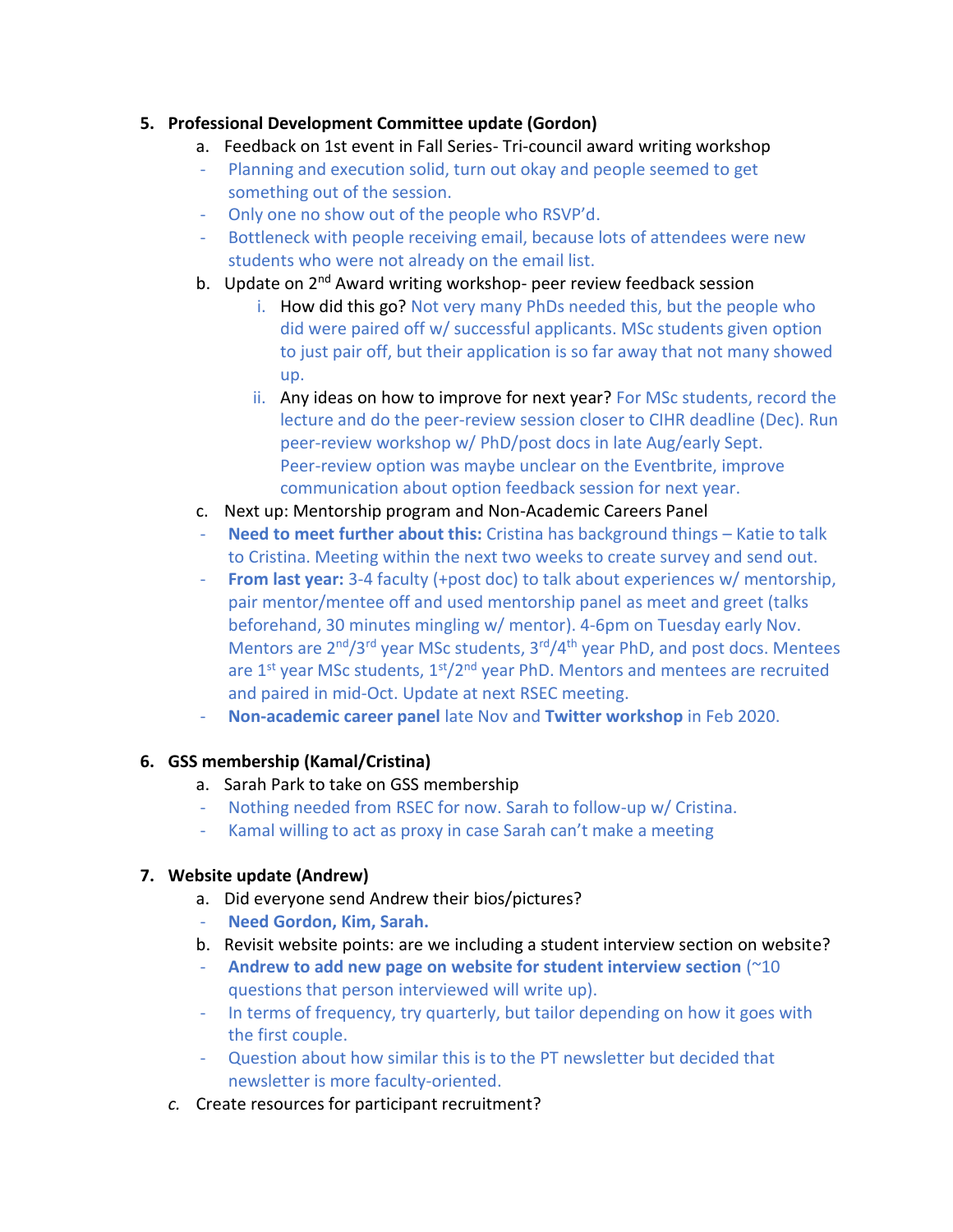## **5. Professional Development Committee update (Gordon)**

- a. Feedback on 1st event in Fall Series- Tri-council award writing workshop
- Planning and execution solid, turn out okay and people seemed to get something out of the session.
- Only one no show out of the people who RSVP'd.
- Bottleneck with people receiving email, because lots of attendees were new students who were not already on the email list.
- b. Update on 2<sup>nd</sup> Award writing workshop- peer review feedback session
	- i. How did this go? Not very many PhDs needed this, but the people who did were paired off w/ successful applicants. MSc students given option to just pair off, but their application is so far away that not many showed up.
	- ii. Any ideas on how to improve for next year? For MSc students, record the lecture and do the peer-review session closer to CIHR deadline (Dec). Run peer-review workshop w/ PhD/post docs in late Aug/early Sept. Peer-review option was maybe unclear on the Eventbrite, improve communication about option feedback session for next year.
- c. Next up: Mentorship program and Non-Academic Careers Panel
- **Need to meet further about this:** Cristina has background things Katie to talk to Cristina. Meeting within the next two weeks to create survey and send out.
- **From last year:** 3-4 faculty (+post doc) to talk about experiences w/ mentorship, pair mentor/mentee off and used mentorship panel as meet and greet (talks beforehand, 30 minutes mingling w/ mentor). 4-6pm on Tuesday early Nov. Mentors are  $2<sup>nd</sup>/3<sup>rd</sup>$  year MSc students,  $3<sup>rd</sup>/4<sup>th</sup>$  year PhD, and post docs. Mentees are  $1^{st}$  year MSc students,  $1^{st}/2^{nd}$  year PhD. Mentors and mentees are recruited and paired in mid-Oct. Update at next RSEC meeting.
- **Non-academic career panel** late Nov and **Twitter workshop** in Feb 2020.

# **6. GSS membership (Kamal/Cristina)**

- a. Sarah Park to take on GSS membership
- Nothing needed from RSEC for now. Sarah to follow-up w/ Cristina.
- Kamal willing to act as proxy in case Sarah can't make a meeting

## **7. Website update (Andrew)**

- a. Did everyone send Andrew their bios/pictures?
- **Need Gordon, Kim, Sarah.**
- b. Revisit website points: are we including a student interview section on website?
- **Andrew to add new page on website for student interview section** (~10 questions that person interviewed will write up).
- In terms of frequency, try quarterly, but tailor depending on how it goes with the first couple.
- Question about how similar this is to the PT newsletter but decided that newsletter is more faculty-oriented.
- *c.* Create resources for participant recruitment?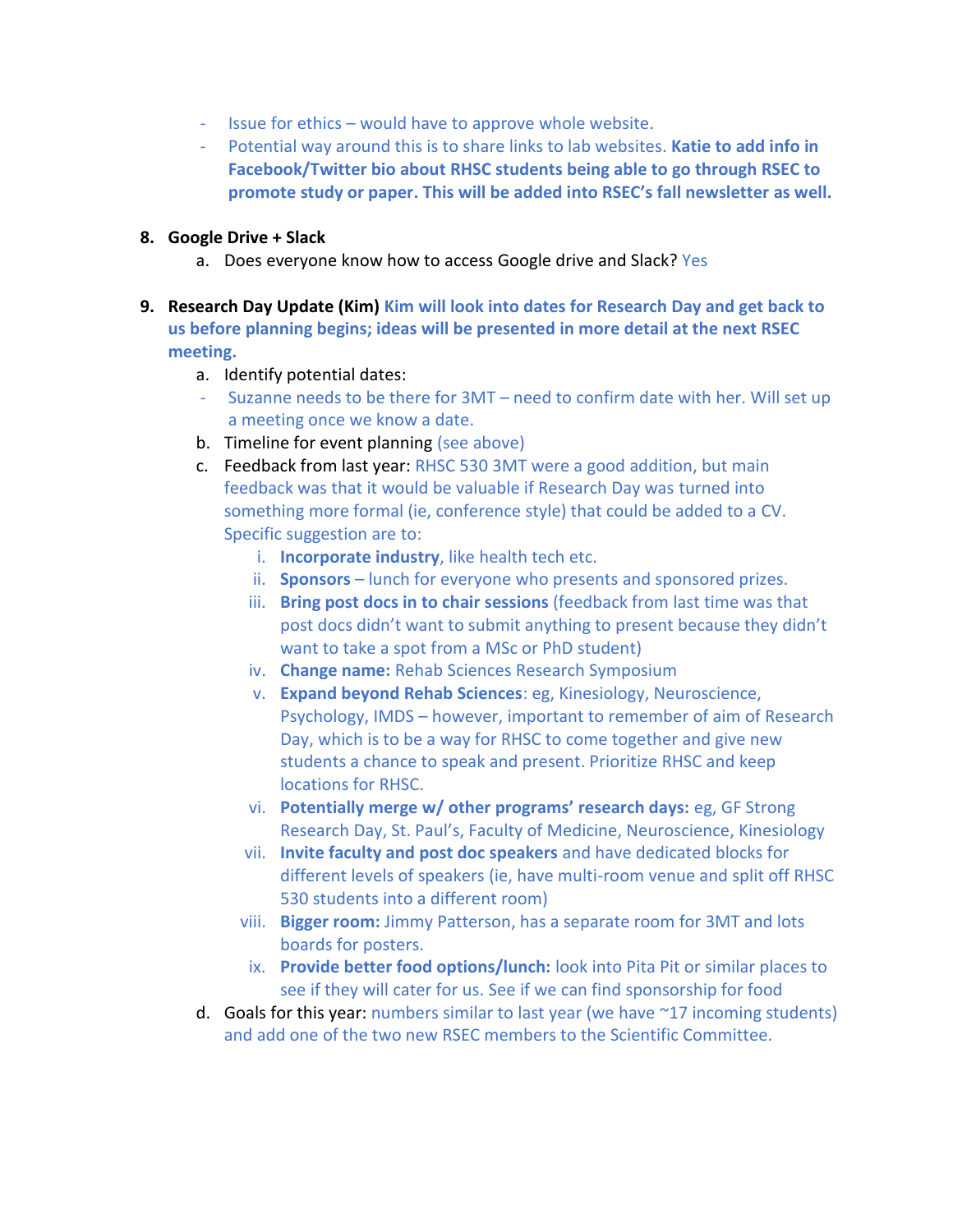- Issue for ethics would have to approve whole website.
- Potential way around this is to share links to lab websites. **Katie to add info in Facebook/Twitter bio about RHSC students being able to go through RSEC to promote study or paper. This will be added into RSEC's fall newsletter as well.**

## **8. Google Drive + Slack**

- a. Does everyone know how to access Google drive and Slack? Yes
- **9. Research Day Update (Kim) Kim will look into dates for Research Day and get back to us before planning begins; ideas will be presented in more detail at the next RSEC meeting.**
	- a. Identify potential dates:
	- Suzanne needs to be there for 3MT need to confirm date with her. Will set up a meeting once we know a date.
	- b. Timeline for event planning (see above)
	- c. Feedback from last year: RHSC 530 3MT were a good addition, but main feedback was that it would be valuable if Research Day was turned into something more formal (ie, conference style) that could be added to a CV. Specific suggestion are to:
		- i. **Incorporate industry**, like health tech etc.
		- ii. **Sponsors** lunch for everyone who presents and sponsored prizes.
		- iii. **Bring post docs in to chair sessions** (feedback from last time was that post docs didn't want to submit anything to present because they didn't want to take a spot from a MSc or PhD student)
		- iv. **Change name:** Rehab Sciences Research Symposium
		- v. **Expand beyond Rehab Sciences**: eg, Kinesiology, Neuroscience, Psychology, IMDS – however, important to remember of aim of Research Day, which is to be a way for RHSC to come together and give new students a chance to speak and present. Prioritize RHSC and keep locations for RHSC.
		- vi. **Potentially merge w/ other programs' research days:** eg, GF Strong Research Day, St. Paul's, Faculty of Medicine, Neuroscience, Kinesiology
		- vii. **Invite faculty and post doc speakers** and have dedicated blocks for different levels of speakers (ie, have multi-room venue and split off RHSC 530 students into a different room)
		- viii. **Bigger room:** Jimmy Patterson, has a separate room for 3MT and lots boards for posters.
		- ix. **Provide better food options/lunch:** look into Pita Pit or similar places to see if they will cater for us. See if we can find sponsorship for food
	- d. Goals for this year: numbers similar to last year (we have  $\sim$ 17 incoming students) and add one of the two new RSEC members to the Scientific Committee.